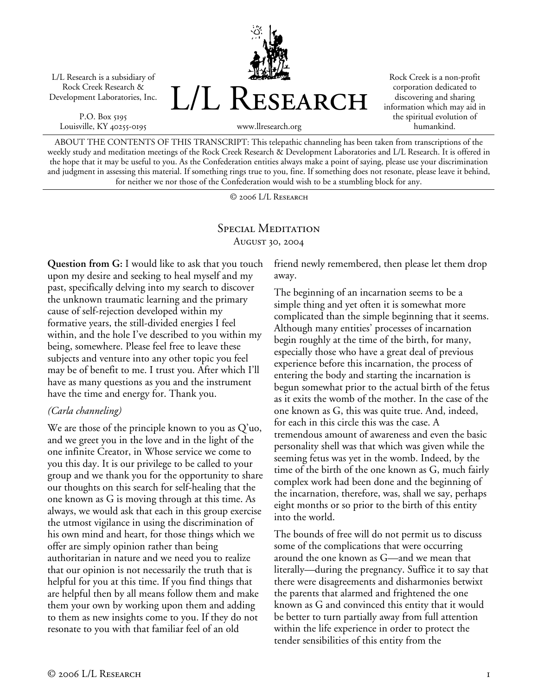L/L Research is a subsidiary of Rock Creek Research & Development Laboratories, Inc.

P.O. Box 5195 Louisville, KY 40255-0195



Rock Creek is a non-profit corporation dedicated to discovering and sharing information which may aid in the spiritual evolution of humankind.

www.llresearch.org

ABOUT THE CONTENTS OF THIS TRANSCRIPT: This telepathic channeling has been taken from transcriptions of the weekly study and meditation meetings of the Rock Creek Research & Development Laboratories and L/L Research. It is offered in the hope that it may be useful to you. As the Confederation entities always make a point of saying, please use your discrimination and judgment in assessing this material. If something rings true to you, fine. If something does not resonate, please leave it behind, for neither we nor those of the Confederation would wish to be a stumbling block for any.

© 2006 L/L Research

## SPECIAL MEDITATION August 30, 2004

**Question from G:** I would like to ask that you touch upon my desire and seeking to heal myself and my past, specifically delving into my search to discover the unknown traumatic learning and the primary cause of self-rejection developed within my formative years, the still-divided energies I feel within, and the hole I've described to you within my being, somewhere. Please feel free to leave these subjects and venture into any other topic you feel may be of benefit to me. I trust you. After which I'll have as many questions as you and the instrument have the time and energy for. Thank you.

## *(Carla channeling)*

We are those of the principle known to you as Q'uo, and we greet you in the love and in the light of the one infinite Creator, in Whose service we come to you this day. It is our privilege to be called to your group and we thank you for the opportunity to share our thoughts on this search for self-healing that the one known as G is moving through at this time. As always, we would ask that each in this group exercise the utmost vigilance in using the discrimination of his own mind and heart, for those things which we offer are simply opinion rather than being authoritarian in nature and we need you to realize that our opinion is not necessarily the truth that is helpful for you at this time. If you find things that are helpful then by all means follow them and make them your own by working upon them and adding to them as new insights come to you. If they do not resonate to you with that familiar feel of an old

friend newly remembered, then please let them drop away.

The beginning of an incarnation seems to be a simple thing and yet often it is somewhat more complicated than the simple beginning that it seems. Although many entities' processes of incarnation begin roughly at the time of the birth, for many, especially those who have a great deal of previous experience before this incarnation, the process of entering the body and starting the incarnation is begun somewhat prior to the actual birth of the fetus as it exits the womb of the mother. In the case of the one known as G, this was quite true. And, indeed, for each in this circle this was the case. A tremendous amount of awareness and even the basic personality shell was that which was given while the seeming fetus was yet in the womb. Indeed, by the time of the birth of the one known as G, much fairly complex work had been done and the beginning of the incarnation, therefore, was, shall we say, perhaps eight months or so prior to the birth of this entity into the world.

The bounds of free will do not permit us to discuss some of the complications that were occurring around the one known as G—and we mean that literally—during the pregnancy. Suffice it to say that there were disagreements and disharmonies betwixt the parents that alarmed and frightened the one known as G and convinced this entity that it would be better to turn partially away from full attention within the life experience in order to protect the tender sensibilities of this entity from the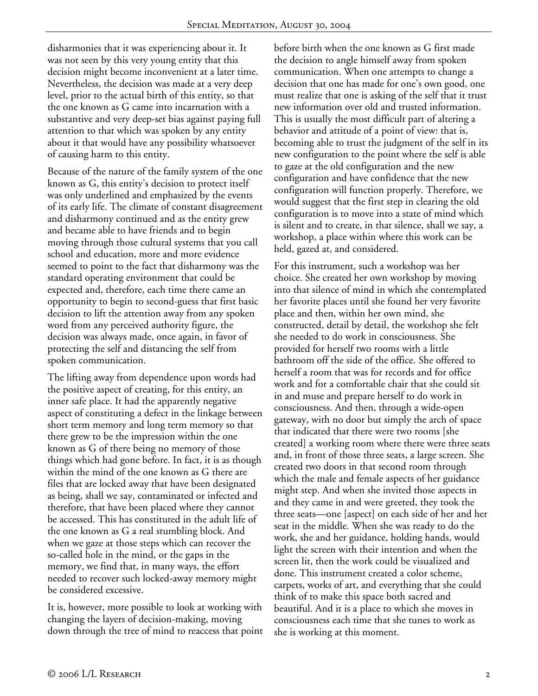disharmonies that it was experiencing about it. It was not seen by this very young entity that this decision might become inconvenient at a later time. Nevertheless, the decision was made at a very deep level, prior to the actual birth of this entity, so that the one known as G came into incarnation with a substantive and very deep-set bias against paying full attention to that which was spoken by any entity about it that would have any possibility whatsoever of causing harm to this entity.

Because of the nature of the family system of the one known as G, this entity's decision to protect itself was only underlined and emphasized by the events of its early life. The climate of constant disagreement and disharmony continued and as the entity grew and became able to have friends and to begin moving through those cultural systems that you call school and education, more and more evidence seemed to point to the fact that disharmony was the standard operating environment that could be expected and, therefore, each time there came an opportunity to begin to second-guess that first basic decision to lift the attention away from any spoken word from any perceived authority figure, the decision was always made, once again, in favor of protecting the self and distancing the self from spoken communication.

The lifting away from dependence upon words had the positive aspect of creating, for this entity, an inner safe place. It had the apparently negative aspect of constituting a defect in the linkage between short term memory and long term memory so that there grew to be the impression within the one known as G of there being no memory of those things which had gone before. In fact, it is as though within the mind of the one known as G there are files that are locked away that have been designated as being, shall we say, contaminated or infected and therefore, that have been placed where they cannot be accessed. This has constituted in the adult life of the one known as G a real stumbling block. And when we gaze at those steps which can recover the so-called hole in the mind, or the gaps in the memory, we find that, in many ways, the effort needed to recover such locked-away memory might be considered excessive.

It is, however, more possible to look at working with changing the layers of decision-making, moving down through the tree of mind to reaccess that point before birth when the one known as G first made the decision to angle himself away from spoken communication. When one attempts to change a decision that one has made for one's own good, one must realize that one is asking of the self that it trust new information over old and trusted information. This is usually the most difficult part of altering a behavior and attitude of a point of view: that is, becoming able to trust the judgment of the self in its new configuration to the point where the self is able to gaze at the old configuration and the new configuration and have confidence that the new configuration will function properly. Therefore, we would suggest that the first step in clearing the old configuration is to move into a state of mind which is silent and to create, in that silence, shall we say, a workshop, a place within where this work can be held, gazed at, and considered.

For this instrument, such a workshop was her choice. She created her own workshop by moving into that silence of mind in which she contemplated her favorite places until she found her very favorite place and then, within her own mind, she constructed, detail by detail, the workshop she felt she needed to do work in consciousness. She provided for herself two rooms with a little bathroom off the side of the office. She offered to herself a room that was for records and for office work and for a comfortable chair that she could sit in and muse and prepare herself to do work in consciousness. And then, through a wide-open gateway, with no door but simply the arch of space that indicated that there were two rooms [she created] a working room where there were three seats and, in front of those three seats, a large screen. She created two doors in that second room through which the male and female aspects of her guidance might step. And when she invited those aspects in and they came in and were greeted, they took the three seats—one [aspect] on each side of her and her seat in the middle. When she was ready to do the work, she and her guidance, holding hands, would light the screen with their intention and when the screen lit, then the work could be visualized and done. This instrument created a color scheme, carpets, works of art, and everything that she could think of to make this space both sacred and beautiful. And it is a place to which she moves in consciousness each time that she tunes to work as she is working at this moment.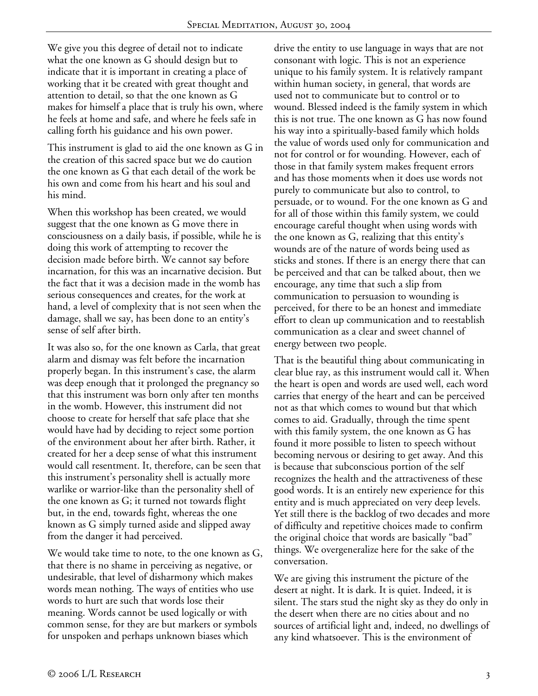We give you this degree of detail not to indicate what the one known as G should design but to indicate that it is important in creating a place of working that it be created with great thought and attention to detail, so that the one known as G makes for himself a place that is truly his own, where he feels at home and safe, and where he feels safe in calling forth his guidance and his own power.

This instrument is glad to aid the one known as G in the creation of this sacred space but we do caution the one known as G that each detail of the work be his own and come from his heart and his soul and his mind.

When this workshop has been created, we would suggest that the one known as G move there in consciousness on a daily basis, if possible, while he is doing this work of attempting to recover the decision made before birth. We cannot say before incarnation, for this was an incarnative decision. But the fact that it was a decision made in the womb has serious consequences and creates, for the work at hand, a level of complexity that is not seen when the damage, shall we say, has been done to an entity's sense of self after birth.

It was also so, for the one known as Carla, that great alarm and dismay was felt before the incarnation properly began. In this instrument's case, the alarm was deep enough that it prolonged the pregnancy so that this instrument was born only after ten months in the womb. However, this instrument did not choose to create for herself that safe place that she would have had by deciding to reject some portion of the environment about her after birth. Rather, it created for her a deep sense of what this instrument would call resentment. It, therefore, can be seen that this instrument's personality shell is actually more warlike or warrior-like than the personality shell of the one known as G; it turned not towards flight but, in the end, towards fight, whereas the one known as G simply turned aside and slipped away from the danger it had perceived.

We would take time to note, to the one known as G, that there is no shame in perceiving as negative, or undesirable, that level of disharmony which makes words mean nothing. The ways of entities who use words to hurt are such that words lose their meaning. Words cannot be used logically or with common sense, for they are but markers or symbols for unspoken and perhaps unknown biases which

drive the entity to use language in ways that are not consonant with logic. This is not an experience unique to his family system. It is relatively rampant within human society, in general, that words are used not to communicate but to control or to wound. Blessed indeed is the family system in which this is not true. The one known as G has now found his way into a spiritually-based family which holds the value of words used only for communication and not for control or for wounding. However, each of those in that family system makes frequent errors and has those moments when it does use words not purely to communicate but also to control, to persuade, or to wound. For the one known as G and for all of those within this family system, we could encourage careful thought when using words with the one known as G, realizing that this entity's wounds are of the nature of words being used as sticks and stones. If there is an energy there that can be perceived and that can be talked about, then we encourage, any time that such a slip from communication to persuasion to wounding is perceived, for there to be an honest and immediate effort to clean up communication and to reestablish communication as a clear and sweet channel of energy between two people.

That is the beautiful thing about communicating in clear blue ray, as this instrument would call it. When the heart is open and words are used well, each word carries that energy of the heart and can be perceived not as that which comes to wound but that which comes to aid. Gradually, through the time spent with this family system, the one known as G has found it more possible to listen to speech without becoming nervous or desiring to get away. And this is because that subconscious portion of the self recognizes the health and the attractiveness of these good words. It is an entirely new experience for this entity and is much appreciated on very deep levels. Yet still there is the backlog of two decades and more of difficulty and repetitive choices made to confirm the original choice that words are basically "bad" things. We overgeneralize here for the sake of the conversation.

We are giving this instrument the picture of the desert at night. It is dark. It is quiet. Indeed, it is silent. The stars stud the night sky as they do only in the desert when there are no cities about and no sources of artificial light and, indeed, no dwellings of any kind whatsoever. This is the environment of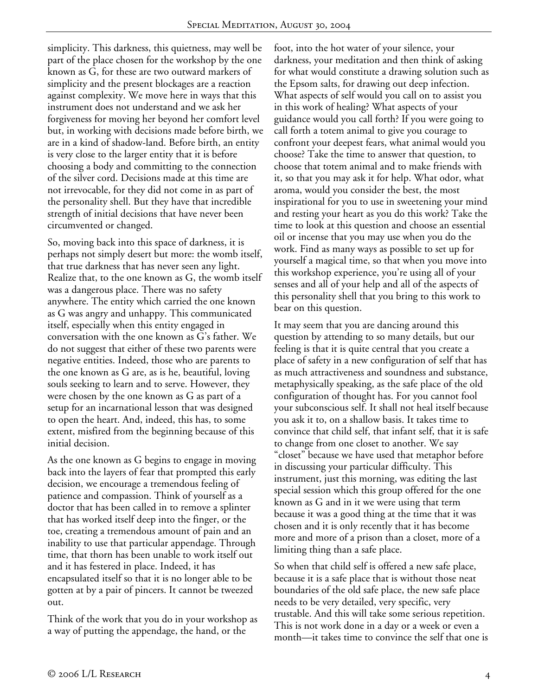simplicity. This darkness, this quietness, may well be part of the place chosen for the workshop by the one known as G, for these are two outward markers of simplicity and the present blockages are a reaction against complexity. We move here in ways that this instrument does not understand and we ask her forgiveness for moving her beyond her comfort level but, in working with decisions made before birth, we are in a kind of shadow-land. Before birth, an entity is very close to the larger entity that it is before choosing a body and committing to the connection of the silver cord. Decisions made at this time are not irrevocable, for they did not come in as part of the personality shell. But they have that incredible strength of initial decisions that have never been circumvented or changed.

So, moving back into this space of darkness, it is perhaps not simply desert but more: the womb itself, that true darkness that has never seen any light. Realize that, to the one known as G, the womb itself was a dangerous place. There was no safety anywhere. The entity which carried the one known as G was angry and unhappy. This communicated itself, especially when this entity engaged in conversation with the one known as G's father. We do not suggest that either of these two parents were negative entities. Indeed, those who are parents to the one known as G are, as is he, beautiful, loving souls seeking to learn and to serve. However, they were chosen by the one known as G as part of a setup for an incarnational lesson that was designed to open the heart. And, indeed, this has, to some extent, misfired from the beginning because of this initial decision.

As the one known as G begins to engage in moving back into the layers of fear that prompted this early decision, we encourage a tremendous feeling of patience and compassion. Think of yourself as a doctor that has been called in to remove a splinter that has worked itself deep into the finger, or the toe, creating a tremendous amount of pain and an inability to use that particular appendage. Through time, that thorn has been unable to work itself out and it has festered in place. Indeed, it has encapsulated itself so that it is no longer able to be gotten at by a pair of pincers. It cannot be tweezed out.

Think of the work that you do in your workshop as a way of putting the appendage, the hand, or the

foot, into the hot water of your silence, your darkness, your meditation and then think of asking for what would constitute a drawing solution such as the Epsom salts, for drawing out deep infection. What aspects of self would you call on to assist you in this work of healing? What aspects of your guidance would you call forth? If you were going to call forth a totem animal to give you courage to confront your deepest fears, what animal would you choose? Take the time to answer that question, to choose that totem animal and to make friends with it, so that you may ask it for help. What odor, what aroma, would you consider the best, the most inspirational for you to use in sweetening your mind and resting your heart as you do this work? Take the time to look at this question and choose an essential oil or incense that you may use when you do the work. Find as many ways as possible to set up for yourself a magical time, so that when you move into this workshop experience, you're using all of your senses and all of your help and all of the aspects of this personality shell that you bring to this work to bear on this question.

It may seem that you are dancing around this question by attending to so many details, but our feeling is that it is quite central that you create a place of safety in a new configuration of self that has as much attractiveness and soundness and substance, metaphysically speaking, as the safe place of the old configuration of thought has. For you cannot fool your subconscious self. It shall not heal itself because you ask it to, on a shallow basis. It takes time to convince that child self, that infant self, that it is safe to change from one closet to another. We say "closet" because we have used that metaphor before in discussing your particular difficulty. This instrument, just this morning, was editing the last special session which this group offered for the one known as G and in it we were using that term because it was a good thing at the time that it was chosen and it is only recently that it has become more and more of a prison than a closet, more of a limiting thing than a safe place.

So when that child self is offered a new safe place, because it is a safe place that is without those neat boundaries of the old safe place, the new safe place needs to be very detailed, very specific, very trustable. And this will take some serious repetition. This is not work done in a day or a week or even a month—it takes time to convince the self that one is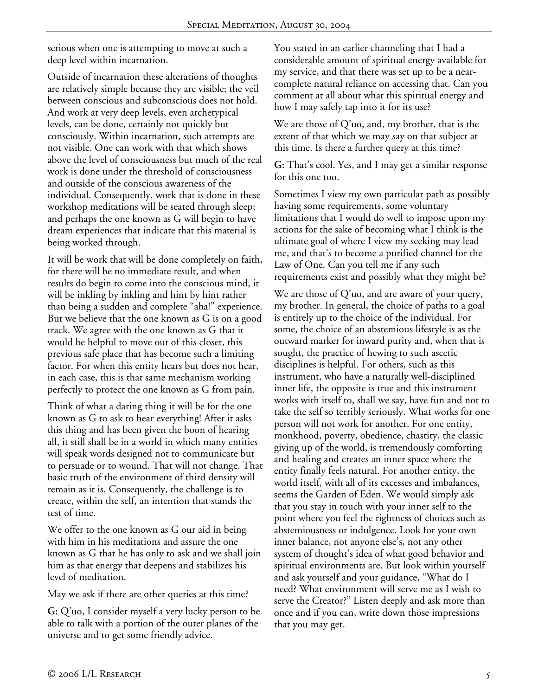serious when one is attempting to move at such a deep level within incarnation.

Outside of incarnation these alterations of thoughts are relatively simple because they are visible; the veil between conscious and subconscious does not hold. And work at very deep levels, even archetypical levels, can be done, certainly not quickly but consciously. Within incarnation, such attempts are not visible. One can work with that which shows above the level of consciousness but much of the real work is done under the threshold of consciousness and outside of the conscious awareness of the individual. Consequently, work that is done in these workshop meditations will be seated through sleep; and perhaps the one known as G will begin to have dream experiences that indicate that this material is being worked through.

It will be work that will be done completely on faith, for there will be no immediate result, and when results do begin to come into the conscious mind, it will be inkling by inkling and hint by hint rather than being a sudden and complete "aha!" experience. But we believe that the one known as G is on a good track. We agree with the one known as G that it would be helpful to move out of this closet, this previous safe place that has become such a limiting factor. For when this entity hears but does not hear, in each case, this is that same mechanism working perfectly to protect the one known as G from pain.

Think of what a daring thing it will be for the one known as G to ask to hear everything! After it asks this thing and has been given the boon of hearing all, it still shall be in a world in which many entities will speak words designed not to communicate but to persuade or to wound. That will not change. That basic truth of the environment of third density will remain as it is. Consequently, the challenge is to create, within the self, an intention that stands the test of time.

We offer to the one known as G our aid in being with him in his meditations and assure the one known as G that he has only to ask and we shall join him as that energy that deepens and stabilizes his level of meditation.

May we ask if there are other queries at this time?

**G:** Q'uo, I consider myself a very lucky person to be able to talk with a portion of the outer planes of the universe and to get some friendly advice.

You stated in an earlier channeling that I had a considerable amount of spiritual energy available for my service, and that there was set up to be a nearcomplete natural reliance on accessing that. Can you comment at all about what this spiritual energy and how I may safely tap into it for its use?

We are those of Q'uo, and, my brother, that is the extent of that which we may say on that subject at this time. Is there a further query at this time?

**G:** That's cool. Yes, and I may get a similar response for this one too.

Sometimes I view my own particular path as possibly having some requirements, some voluntary limitations that I would do well to impose upon my actions for the sake of becoming what I think is the ultimate goal of where I view my seeking may lead me, and that's to become a purified channel for the Law of One. Can you tell me if any such requirements exist and possibly what they might be?

We are those of  $Q'$ uo, and are aware of your query, my brother. In general, the choice of paths to a goal is entirely up to the choice of the individual. For some, the choice of an abstemious lifestyle is as the outward marker for inward purity and, when that is sought, the practice of hewing to such ascetic disciplines is helpful. For others, such as this instrument, who have a naturally well-disciplined inner life, the opposite is true and this instrument works with itself to, shall we say, have fun and not to take the self so terribly seriously. What works for one person will not work for another. For one entity, monkhood, poverty, obedience, chastity, the classic giving up of the world, is tremendously comforting and healing and creates an inner space where the entity finally feels natural. For another entity, the world itself, with all of its excesses and imbalances, seems the Garden of Eden. We would simply ask that you stay in touch with your inner self to the point where you feel the rightness of choices such as abstemiousness or indulgence. Look for your own inner balance, not anyone else's, not any other system of thought's idea of what good behavior and spiritual environments are. But look within yourself and ask yourself and your guidance, "What do I need? What environment will serve me as I wish to serve the Creator?" Listen deeply and ask more than once and if you can, write down those impressions that you may get.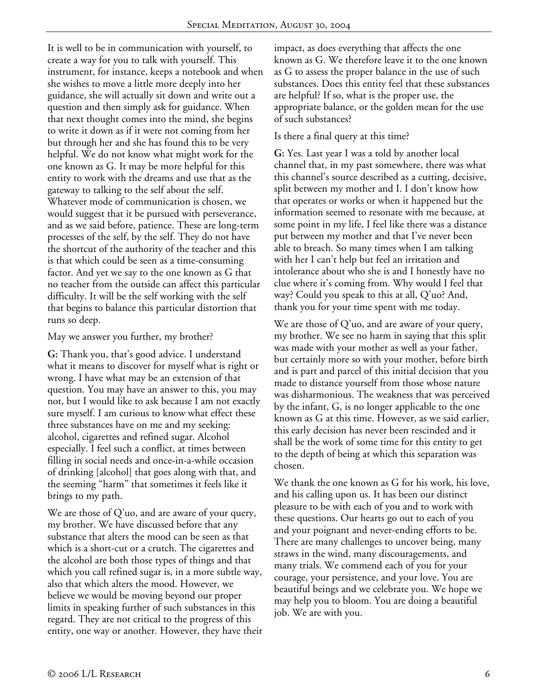It is well to be in communication with yourself, to create a way for you to talk with yourself. This instrument, for instance, keeps a notebook and when she wishes to move a little more deeply into her guidance, she will actually sit down and write out a question and then simply ask for guidance. When that next thought comes into the mind, she begins to write it down as if it were not coming from her but through her and she has found this to be very helpful. We do not know what might work for the one known as G. It may be more helpful for this entity to work with the dreams and use that as the gateway to talking to the self about the self. Whatever mode of communication is chosen, we would suggest that it be pursued with perseverance, and as we said before, patience. These are long-term processes of the self, by the self. They do not have the shortcut of the authority of the teacher and this is that which could be seen as a time-consuming factor. And yet we say to the one known as G that no teacher from the outside can affect this particular difficulty. It will be the self working with the self that begins to balance this particular distortion that runs so deep.

May we answer you further, my brother?

**G:** Thank you, that's good advice. I understand what it means to discover for myself what is right or wrong. I have what may be an extension of that question. You may have an answer to this, you may not, but I would like to ask because I am not exactly sure myself. I am curious to know what effect these three substances have on me and my seeking: alcohol, cigarettes and refined sugar. Alcohol especially. I feel such a conflict, at times between filling in social needs and once-in-a-while occasion of drinking [alcohol] that goes along with that, and the seeming "harm" that sometimes it feels like it brings to my path.

We are those of Q'uo, and are aware of your query, my brother. We have discussed before that any substance that alters the mood can be seen as that which is a short-cut or a crutch. The cigarettes and the alcohol are both those types of things and that which you call refined sugar is, in a more subtle way, also that which alters the mood. However, we believe we would be moving beyond our proper limits in speaking further of such substances in this regard. They are not critical to the progress of this entity, one way or another. However, they have their

impact, as does everything that affects the one known as G. We therefore leave it to the one known as G to assess the proper balance in the use of such substances. Does this entity feel that these substances are helpful? If so, what is the proper use, the appropriate balance, or the golden mean for the use of such substances?

## Is there a final query at this time?

**G:** Yes. Last year I was a told by another local channel that, in my past somewhere, there was what this channel's source described as a cutting, decisive, split between my mother and I. I don't know how that operates or works or when it happened but the information seemed to resonate with me because, at some point in my life, I feel like there was a distance put between my mother and that I've never been able to breach. So many times when I am talking with her I can't help but feel an irritation and intolerance about who she is and I honestly have no clue where it's coming from. Why would I feel that way? Could you speak to this at all, Q'uo? And, thank you for your time spent with me today.

We are those of Q'uo, and are aware of your query, my brother. We see no harm in saying that this split was made with your mother as well as your father, but certainly more so with your mother, before birth and is part and parcel of this initial decision that you made to distance yourself from those whose nature was disharmonious. The weakness that was perceived by the infant, G, is no longer applicable to the one known as G at this time. However, as we said earlier, this early decision has never been rescinded and it shall be the work of some time for this entity to get to the depth of being at which this separation was chosen.

We thank the one known as G for his work, his love, and his calling upon us. It has been our distinct pleasure to be with each of you and to work with these questions. Our hearts go out to each of you and your poignant and never-ending efforts to be. There are many challenges to uncover being, many straws in the wind, many discouragements, and many trials. We commend each of you for your courage, your persistence, and your love. You are beautiful beings and we celebrate you. We hope we may help you to bloom. You are doing a beautiful job. We are with you.